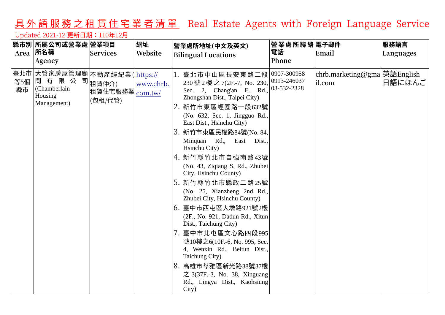## 具外語服務之租賃住宅業者清單 Real Estate Agents with Foreign Language Service

## Updated 2021-12 更新日期:110年12月

|           | 縣市別 所屬公司或營業處 營業項目<br>Area 所名稱<br>Agency                                         | <b>Services</b>                          | 網址<br>Website        | 營業處所地址(中文及英文)<br><b>Bilingual Locations</b>                                                                                                                                                                                                                                                                                                                                                                                                                                                                                                                                                                                                                                                                                                       | 營業處所聯絡電子郵件<br>電話<br>Phone  | Email                                  | 服務語言<br>Languages |
|-----------|---------------------------------------------------------------------------------|------------------------------------------|----------------------|---------------------------------------------------------------------------------------------------------------------------------------------------------------------------------------------------------------------------------------------------------------------------------------------------------------------------------------------------------------------------------------------------------------------------------------------------------------------------------------------------------------------------------------------------------------------------------------------------------------------------------------------------------------------------------------------------------------------------------------------------|----------------------------|----------------------------------------|-------------------|
| 等5個<br>縣市 | 臺北市 大管家房屋管理顧 不動產經紀業( https://<br>問有限公<br>(Chamberlain<br>Housing<br>Management) | 司 <sub>租賃仲介)</sub><br>租賃住宅服務業<br>(包租/代管) | www.chrb.<br>com.tw/ | 臺北市中山區長安東路二段 0907-300958<br>230 號 2 樓 之 7(2F.-7, No. 230,<br>Sec. 2, Chang'an E. Rd.,<br>Zhongshan Dist., Taipei City)<br>2. 新竹市東區經國路一段632號<br>(No. 632, Sec. 1, Jingguo Rd.,<br>East Dist., Hsinchu City)<br>新竹市東區民權路84號(No. 84,<br>Minquan Rd., East Dist.,<br>Hsinchu City)<br>4. 新竹縣竹北市自強南路43號<br>(No. 43, Ziqiang S. Rd., Zhubei<br>City, Hsinchu County)<br>5. 新竹縣竹北市縣政二路25號<br>(No. 25, Xianzheng 2nd Rd.,<br>Zhubei City, Hsinchu County)<br>6. 臺中市西屯區大墩路921號2樓<br>(2F., No. 921, Dadun Rd., Xitun<br>Dist., Taichung City)<br>7. 臺中市北屯區文心路四段995<br>號10樓之6(10F.-6, No. 995, Sec.<br>4, Wenxin Rd., Beitun Dist.,<br>Taichung City)<br>8. 高雄市苓雅區新光路38號37樓<br>$\gtrsim$ 3(37F.-3, No. 38, Xinguang<br>Rd., Lingya Dist., Kaohsiung<br>City) | 0913-246037<br>03-532-2328 | chrb.marketing@gma 英語English<br>il.com | 日語にほんご            |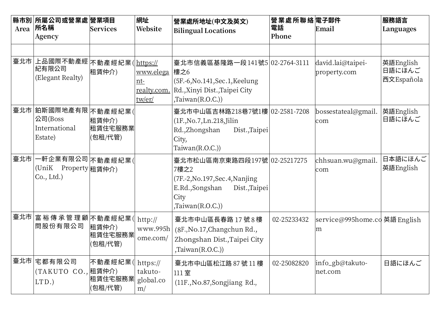| Area | 縣市別 所屬公司或營業處 營業項目<br><b> 所名稱</b><br>Agency                    | Services                                      | 網址<br><b>Website</b>                               | 營業處所地址(中文及英文)<br><b>Bilingual Locations</b>                                                                                            | 營業處所聯絡電子郵件<br>電話<br>Phone | Email                              | 服務語言<br>Languages                 |
|------|---------------------------------------------------------------|-----------------------------------------------|----------------------------------------------------|----------------------------------------------------------------------------------------------------------------------------------------|---------------------------|------------------------------------|-----------------------------------|
| 臺北市  | 上品國際不動產經 $ $ 不動產經紀業 $ $ https://<br>紀有限公司<br>(Elegant Realty) | 租賃仲介)                                         | <u>www.elega</u><br>$nt-$<br>realty.com.<br>tw/er/ | 臺北市信義區基隆路一段141號5 02-2764-3111<br> 樓之6<br>(5F.-6, No.141, Sec.1, Keelung<br>Rd.,Xinyi Dist.,Taipei City<br>, Taiwan(R.O.C.)             |                           | david.lai@taipei-<br>property.com  | 英語English<br>日語にほんご<br>西文Española |
|      | 臺北市 鉑斯國際地產有限 不動產經紀業(<br>公司(Boss<br>International<br>Estate)   | 租賃仲介)<br>租賃住宅服務業<br>(包租/代管)                   |                                                    | 臺北市中山區吉林路218巷7號1樓 02-2581-7208<br>(1F, No.7, Ln.218, Jilin<br>Rd.,Zhongshan<br>Dist., Taipei<br>City,<br>Taiwan(R.O.C.)                |                           | bossestateal@gmail.<br>com         | 英語English<br>日語にほんご               |
| 臺北市  | −軒企業有限公司 $ $ 不動產經紀業(<br>(UniK<br>Property 祖賃仲介)<br>Co., Ltd.) |                                               |                                                    | 臺北市松山區南京東路四段197號 02-25217275<br>7樓之2<br>(7F.-2, No.197, Sec. 4, Nanjing<br>E.Rd.,Songshan<br>Dist., Taipei<br>City<br>, Taiwan(R.O.C.) |                           | chhsuan.wu@gmail.<br>com           | 日本語にほんご<br>英語English              |
|      | 臺北市 富 裕 傳 承 管 理 顧 不動產經紀業(<br>問股份有限公司                          | 租賃仲介)<br>租賃住宅服務業<br>包租/代管)                    | http://<br>www.995 $h$<br>ome.com/                 | 臺北市中山區長春路17號8樓<br>(8F., No.17, Changchun Rd.,<br>Zhongshan Dist., Taipei City<br>,Taiwan(R.O.C.))                                      | 02-25233432               | service@995home.co 英語 English<br>m |                                   |
| 臺北市  | 宅都有限公司<br>(TAKUTO)<br>$LTD.$ )                                | 不動產經紀業( <br>CO., 租賃仲介)<br> 租賃住宅服務業 <br>包租/代管) | https://<br>takuto-<br>global.co<br>m/             | 臺北市中山區松江路 87號 11樓<br>111室<br>(11F., No.87, Songjiang Rd.,                                                                              | 02-25082820               | info_gb@takuto-<br>net.com         | 日語にほんご                            |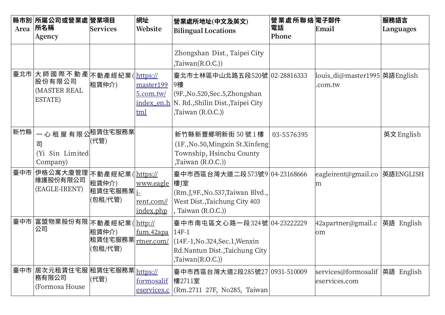| Area | 縣市別 所屬公司或營業處 營業項目<br>所名稱<br>Agency                                                                             | Services                                | 網址<br>Website                                  | 營業處所地址(中文及英文)<br><b>Bilingual Locations</b>                                                                                        | 營業處所聯絡電子郵件<br>電話<br>Phone | Email                                            | 服務語言<br>Languages |
|------|----------------------------------------------------------------------------------------------------------------|-----------------------------------------|------------------------------------------------|------------------------------------------------------------------------------------------------------------------------------------|---------------------------|--------------------------------------------------|-------------------|
|      |                                                                                                                |                                         |                                                | Zhongshan Dist., Taipei City<br>, Taiwan(R.O.C.)                                                                                   |                           |                                                  |                   |
| 臺北市  | 大師國際不動產不動產經紀業( https://<br>股份有限公司<br>(MASTER REAL<br>ESTATE)                                                   | 租賃仲介)                                   | master199<br>$5.$ com.tw/<br>index_en.h<br>tml | 臺北市士林區中山北路五段520號 02-28816333<br> 9樓<br>(9F., No. 520, Sec. 5, Zhongshan<br>N. Rd., Shilin Dist., Taipei City<br>,Taiwan $(R.O.C.)$ |                           | louis_di@master1995 英語English<br>.com.tw         |                   |
| 新竹縣  | 一 心 租 屋 有 限 公 <sup>租賃住宅服務業</sup><br>司<br>Sin Limited<br>(Y <sub>i</sub> )<br>Company)                          | (代管)                                    |                                                | 新竹縣新豐鄉明新街 50號1樓<br>(1F., No. 50, Mingxin St. Xinfeng)<br>Township, Hsinchu County<br>,Taiwan (R.O.C.))                             | 03-5576395                |                                                  | 英文 English        |
|      | 臺中市 伊格公寓大廈管理 不動產經紀業 ( https://<br>維護股份有限公司<br>(EAGLE-IRENT)                                                    | 租賃仲介)<br>租賃住宅服務業  <u>i</u> -<br>(包租/代管) | <u>www.eagle</u><br>rent.com//<br>index.php    | 臺中市西區台灣大道二段573號9 04-23168666<br>│樓J室<br>(Rm.J, 9F., No.537, Taiwan Blvd.,<br>West Dist., Taichung City 403<br>, Taiwan (R.O.C.))   |                           | eagleirent@gmail.co<br>m                         | 英語ENGLISH         |
| 臺中市  | │富盟物業股份有限│不動產經紀業( <u>│http://</u><br>公司                                                                        | 租賃仲介)<br>租賃住宅服務業<br>(包租/代管)             | <u>fum.42apa</u><br>rtner.com/                 | 臺中市南屯區文心路一段324號 04-23222229<br>14F-1<br>(14F.-1, No.324, Sec.1, Wenxin<br>Rd.Nantun Dist.,Taichung City<br>$\text{Taiwan}(R.O.C.)$ |                           | 42apartner@gmail.c  英語 English<br>lom            |                   |
|      | 臺中市 $ $ 居次元租賃住宅服 $ $ 租賃住宅服務業 $ _{\underline{\text{https://}}\underline{\text{}}}}$<br> 務有限公司<br>(Formosa House | (代管)                                    | formosalif<br>eservices.c                      | 臺中市西區台灣大道2段285號27 0931-510009<br> 樓2711室<br>(Rm.2711 27F, No285, Taiwan)                                                           |                           | services@formosalif  英語 English<br>eservices.com |                   |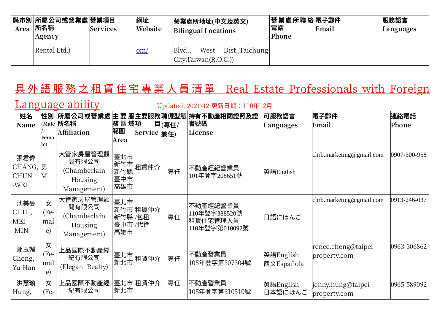| 縣市別 所屬公司或營業處 營業項目<br>$Area$ 所名稱<br><b>Services</b><br>Agency |  | 網址<br>Website | 營業處所地址(中文及英文)<br><b>Bilingual Locations</b>                     | │營業處所聯絡 電子郵件<br>電話<br>Phone | Email | 服務語言<br>Languages |
|--------------------------------------------------------------|--|---------------|-----------------------------------------------------------------|-----------------------------|-------|-------------------|
| Rental Ltd.)                                                 |  | $om$          | Blvd.,<br>West Dist.,Taichung<br>$\vert$ City,Taiwan $(R.O.C.)$ |                             |       |                   |

## 具 外 語 服 務 之 租 賃 住 宅 專 業 人 員 清 單 Real Estate Professionals with Foreign

Language ability Updated: 2021-12 更新日期: 110年12月

| 姓名<br>Name                           | Fema<br>le)            | 性別  所屬公司或營業處 主 要 服主要服務聘僱型態 <br>(Male $ {\mathop{{\mathfrak {H}}}\nolimits} \mathop{{\mathfrak {H}}}\nolimits$ ${\mathop{{\mathfrak {H}}}\nolimits}$<br><b>Affiliation</b> | 務區域項<br>範圍<br>Area               | Service $#f$ | 目(專任/ | 持有不動產相關證照及證<br>書號碼<br>License                           | 可服務語言<br>Languages      | <b>電子郵件</b><br>Email                | 連絡電話<br>Phone |
|--------------------------------------|------------------------|---------------------------------------------------------------------------------------------------------------------------------------------------------------------------|----------------------------------|--------------|-------|---------------------------------------------------------|-------------------------|-------------------------------------|---------------|
| 張君偉<br>CHANG,<br><b>CHUN</b><br>-WEI | 男<br>M                 | 大管家房屋管理顧<br>問有限公司<br>(Chamberlain<br>Housing<br>Management)                                                                                                               | 臺北市<br>新竹市<br>新竹縣<br>臺中市<br>高雄市  | 租賃仲介         | 專任    | 不動產經紀營業員<br>101年登字208651號                               | 英語English               | chrb.marketing@gmail.com            | 0907-300-958  |
| 池美旻<br>CHIH,<br>MEI<br>$-MIN$        | 女<br>(Fe-<br>mal<br>e) | 大管家房屋管理顧<br>問有限公司<br>(Chamberlain<br>Housing<br>Management)                                                                                                               | 臺北市<br>新竹縣 /包租<br>臺中市 /代管<br>高雄市 | 新竹市 租賃仲介     | 專任    | 不動產經紀營業員<br>110年登字388520號<br>租賃住宅管理人員<br>110年登字第010092號 | 日語にほんご                  | chrb.marketing@gmail.com            | 0913-246-037  |
| 鄭玉韓<br>Cheng,<br>Yu-Han              | 女<br>(Fe-<br>mal<br>e) | 上品國際不動產經<br>紀有限公司<br>(Elegant Realty)                                                                                                                                     | 臺北市<br>新北市                       | 租賃仲介         | 專任    | 不動產營業員<br>105年登字第307304號                                | 英語English<br>西文Española | renee.cheng@taipei-<br>property.com | 0963-306862   |
| 洪慧瑜<br>Hung,                         | 女<br>(Fe-              | 上品國際不動產經<br>紀有限公司                                                                                                                                                         | 新北市                              | 臺北市 租賃仲介     | 專任    | 不動產營業員<br>105年登字第310510號                                | 英語English<br>日本語にほんご    | jenny.hung@taipei-<br>property.com  | 0965-589092   |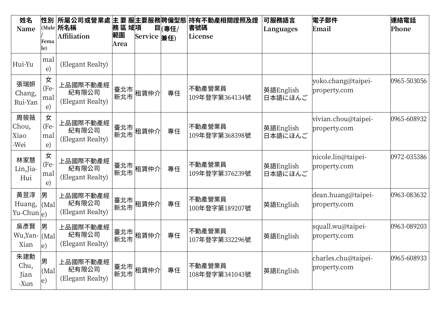| 姓名<br><b>Name</b>                    | Fema<br>le)                    | 性別 所屬公司或營業處 主 要 服主要服務聘僱型態<br>(Male 所名稱<br><b>Affiliation</b> | 務區域項<br>範圍<br>Area | Service $\left  \frac{1}{2}\right  \neq 0$ | 目(專任/ | 持有不動產相關證照及證<br>書號碼<br>License | 可服務語言<br>Languages   | 電子郵件<br>Email                       | 連絡電話<br>Phone |
|--------------------------------------|--------------------------------|--------------------------------------------------------------|--------------------|--------------------------------------------|-------|-------------------------------|----------------------|-------------------------------------|---------------|
| Hui-Yu                               | mal<br>e)                      | (Elegant Realty)                                             |                    |                                            |       |                               |                      |                                     |               |
| 張瑞妍<br>Chang,<br>Rui-Yan             | 女<br>(Fe-<br>mal<br>$\epsilon$ | 上品國際不動產經<br>紀有限公司<br>(Elegant Realty)                        | 臺北市<br>新北市         | 租賃仲介                                       | 專任    | 不動產營業員<br>109年登字第364134號      | 英語English<br>日本語にほんご | yoko.chang@taipei-<br>property.com  | 0965-503056   |
| 周筱薇<br>Chou,<br>Xiao<br>-Wei         | 女<br>(Fe-<br>mal<br>$\epsilon$ | 上品國際不動產經<br>紀有限公司<br>(Elegant Realty)                        | 臺北市<br>新北市         | 租賃仲介                                       | 專任    | 不動產營業員<br>109年登字第368398號      | 英語English<br>日本語にほんご | vivian.chou@taipei-<br>property.com | 0965-608932   |
| 林家慧<br>Lin, Jia-<br>Hui              | 女<br>(Fe-<br>mal<br>$\epsilon$ | 上品國際不動產經<br>紀有限公司<br>(Elegant Realty)                        | 臺北市<br>新北市         | 租賃仲介                                       | 專任    | 不動產營業員<br>109年登字第376239號      | 英語English<br>日本語にほんご | nicole.lin@taipei-<br>property.com  | 0972-035386   |
| 黃昱淳<br>Huang,<br>Yu-Chun $ e\rangle$ | 男<br>$\vert$ (Mal $\vert$      | 上品國際不動產經<br>紀有限公司<br>(Elegant Realty)                        | 臺北市<br>新北市         | 租賃仲介                                       | 專任    | 不動產營業員<br>100年登字第189207號      | 英語English            | dean.huang@taipei-<br>property.com  | 0963-083632   |
| 吳彥賢<br>Wu,Yan-<br>Xian               | 男<br>(Mal)<br>$ e\rangle$      | 上品國際不動產經<br>紀有限公司<br>(Elegant Realty)                        | 臺北市<br>新北市         | 租賃仲介                                       | 專任    | 不動產營業員<br>107年登字第332296號      | 英語English            | squall.wu@taipei-<br>property.com   | 0963-089203   |
| 朱建勳<br>Chu,<br>Jian<br>-Xun          | 男<br>(Mal)<br> e)              | 上品國際不動產經<br>紀有限公司<br>(Elegant Realty)                        | 臺北市<br>新北市         | 租賃仲介                                       | 專任    | 不動產營業員<br>108年登字第341043號      | 英語English            | charles.chu@taipei-<br>property.com | 0965-608933   |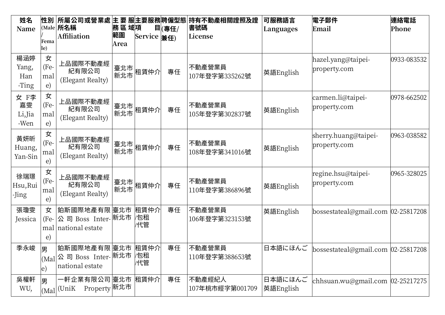| 姓名<br>Name                    | <b>性別</b><br>Fema<br>le)       | 所屬公司或營業處 主 要 服主要服務聘僱型態 <br>$(Male$ 所名稱<br>Affiliation                  | 務區域項<br>範圍<br>Area | Service $\left  \frac{1}{2}\right  \neq 0$ | 目(專任/ | 持有不動產相關證照及證<br>書號碼<br>License | 可服務語言<br>Languages    | <b>電子郵件</b><br>Email                   | 連絡電話<br>Phone |
|-------------------------------|--------------------------------|------------------------------------------------------------------------|--------------------|--------------------------------------------|-------|-------------------------------|-----------------------|----------------------------------------|---------------|
| 楊涵婷<br>Yang,<br>Han<br>-Ting  | 女<br>(Fe-<br>mal<br>e)         | 上品國際不動產經<br>紀有限公司<br>(Elegant Realty)                                  | 臺北市 <br>新北市        | 租賃仲介                                       | 專任    | 不動產營業員<br>107年登字第335262號      | 英語English             | hazel.yang@taipei-<br>property.com     | 0933-083532   |
| 女 F李<br>嘉雯<br>Li, Jia<br>-Wen | 女<br>(Fe-<br>mal<br>e)         | 上品國際不動產經<br>紀有限公司<br>(Elegant Realty)                                  | 臺北市 <br>新北市        | 租賃仲介                                       | 專任    | 不動產營業員<br>105年登字第302837號      | 英語English             | carmen.li@taipei-<br>property.com      | 0978-662502   |
| 黃妍昕<br>Huang,<br>Yan-Sin      | 女<br>(Fe-<br>mal<br>e)         | 上品國際不動產經<br>紀有限公司<br>(Elegant Realty)                                  | 臺北市 <br>新北市        | 租賃仲介                                       | 專任    | 不動產營業員<br>108年登字第341016號      | 英語English             | sherry.huang@taipei-<br>property.com   | 0963-038582   |
| 徐瑞璟<br>Hsu, Rui<br>-Jing      | 女<br>(Fe-<br>mal<br>$\epsilon$ | 上品國際不動產經<br>紀有限公司<br>(Elegant Realty)                                  | 臺北市 <br>新北市        | 租賃仲介                                       | 專任    | 不動產營業員<br>110年登字第386896號      | 英語English             | regine.hsu@taipei-<br>property.com     | 0965-328025   |
| 張瓊雯<br>Jessica                | 女<br>(Fe-<br>$\epsilon)$       | 鉑斯國際地產有限 臺北市<br>公 司 Boss Inter- 新北市<br>mal national estate             |                    | 租賃仲介<br>′包租<br>/代管                         | 專任    | 不動產營業員<br>106年登字第323153號      | 英語English             | bossestateal@gmail.com 02-25817208     |               |
| 季永峻                           | 男<br> e)                       | 鉑斯國際地產有限 臺北市 祖賃仲介<br> (Mal 公司 Boss Inter- 新北市  包租<br>national estate   |                    | /代管                                        | 專任    | 不動產營業員<br>110年登字第388653號      | 日本語にほんご               | bossestateal@gmail.com $ 02-25817208 $ |               |
| 吳權軒<br>WU,                    | 男                              | 一軒企業有限公司 $ $ 臺北市 $ $ 租賃仲介 $ $<br>Property 新北市<br>$ $ (Mal $ $ (Uni $K$ |                    |                                            | 專任    | 不動產經紀人<br>107年桃市經字第001709     | 日本語にほんご<br> 英語English | chhsuan.wu@gmail.com $ 02-25217275 $   |               |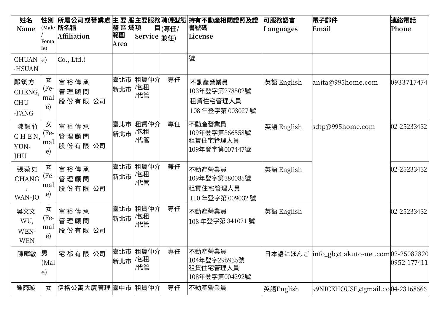| 姓名<br>Name                           |                        | (Male $ \mathbf{f}$ 名稱  | 務區域項       |                                            | 目(專任/ | 性別  所屬公司或營業處 主 要 服主要服務 聘僱型態  持有不動產相關證照及證<br>書號碼         | 可服務語言<br>Languages | 電子郵件<br>Email                              | 連絡電話<br>Phone     |
|--------------------------------------|------------------------|-------------------------|------------|--------------------------------------------|-------|---------------------------------------------------------|--------------------|--------------------------------------------|-------------------|
|                                      | Fema                   | Affiliation             | 範圍<br>Area | Service $\left  \frac{1}{2}\right  \neq 0$ |       | License                                                 |                    |                                            |                   |
|                                      | le)                    |                         |            |                                            |       |                                                         |                    |                                            |                   |
| CHUAN $ e\rangle$<br>-HSUAN          |                        | Co., Ltd.)              |            |                                            |       | 號                                                       |                    |                                            |                   |
| 鄭筑方<br>CHENG,<br><b>CHU</b><br>-FANG | 女<br>(Fe-<br>mal<br>e) | 富裕傳承<br>管理顧問<br>股份有限 公司 | 新北市        | 臺北市  租賃仲介 <br>⁄包租<br>/代管                   | 專任    | 不動產營業員<br>103年登字第278502號<br>租賃住宅管理人員<br>108年登字第003027號  | 英語 English         | anita@995home.com                          | 0933717474        |
| 陳韻竹<br>CHEN,<br>YUN-<br>JHU          | 女<br>(Fe-<br>mal<br>e) | 富裕傳承<br>管理顧問<br>股份有限 公司 | 臺北市<br>新北市 | 租賃仲介<br>⁄包租<br>/代管                         | 專任    | 不動產營業員<br>109年登字第366558號<br>租賃住宅管理人員<br>109年登字第007447號  | 英語 English         | sdtp@995home.com                           | 02-25233432       |
| 張菀如<br><b>CHANG</b><br>WAN-JO        | 女<br>(Fe-<br>mal<br>e) | 富裕傳承<br>管理顧問<br>股份有限 公司 | 臺北市<br>新北市 | 租賃仲介<br>包租<br>/代管                          | 兼任    | 不動產營業員<br>109年登字第380085號<br>租賃住宅管理人員<br>110年登字第 009032號 | 英語 English         |                                            | 02-25233432       |
| 吳文文<br>WU,<br>WEN-<br><b>WEN</b>     | 女<br>(Fe-<br>mal<br>e) | 富裕傳承<br>管理顧問<br>股份有限 公司 | 臺北市<br>新北市 | 租賃仲介<br>包租<br>/代管                          | 專任    | 不動產營業員<br>108年登字第 341021號                               | 英語 English         |                                            | 02-25233432       |
| 陳暉敏                                  | 男<br>(Mal<br>$\ket{e}$ | 宅都有限 公司                 | 新北市        | 臺北市 租賃仲介<br>⁄包租<br>/代管                     | 專任    | 不動產營業員<br>104年登字296935號<br>租賃住宅管理人員<br>108年登字第004292號   |                    | 日本語にほんご info_gb@takuto-net.com 02-25082820 | $ 0952 - 177411 $ |
| 鍾雨璇                                  | 女                      | 伊格公寓大廈管理 臺中市  租賃仲介      |            |                                            | 專任    | 不動產營業員                                                  | 英語English          | 99NICEHOUSE@gmail.co 04-23168666           |                   |